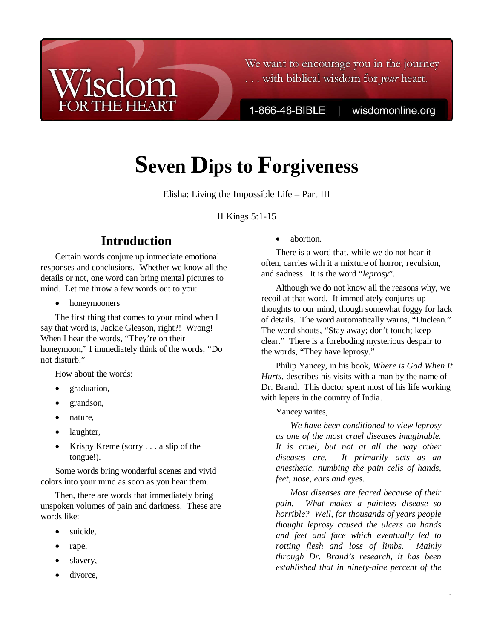## We want to encourage you in the journey ... with biblical wisdom for your heart.

1-866-48-BIBLE

wisdomonline.org

# **Seven Dips to Forgiveness**

Elisha: Living the Impossible Life – Part III

II Kings 5:1-15

# **Introduction**

Certain words conjure up immediate emotional responses and conclusions. Whether we know all the details or not, one word can bring mental pictures to mind. Let me throw a few words out to you:

• honeymooners

The first thing that comes to your mind when I say that word is, Jackie Gleason, right?! Wrong! When I hear the words, "They're on their honeymoon," I immediately think of the words, "Do not disturb."

How about the words:

- graduation,
- grandson,
- nature,
- laughter,
- Krispy Kreme (sorry . . . a slip of the tongue!).

Some words bring wonderful scenes and vivid colors into your mind as soon as you hear them.

Then, there are words that immediately bring unspoken volumes of pain and darkness. These are words like:

- suicide,
- rape,
- slavery,
- divorce.

abortion.

There is a word that, while we do not hear it often, carries with it a mixture of horror, revulsion, and sadness. It is the word "*leprosy*".

Although we do not know all the reasons why, we recoil at that word. It immediately conjures up thoughts to our mind, though somewhat foggy for lack of details. The word automatically warns, "Unclean." The word shouts, "Stay away; don't touch; keep clear." There is a foreboding mysterious despair to the words, "They have leprosy."

Philip Yancey, in his book, *Where is God When It Hurts*, describes his visits with a man by the name of Dr. Brand. This doctor spent most of his life working with lepers in the country of India.

Yancey writes,

*We have been conditioned to view leprosy as one of the most cruel diseases imaginable. It is cruel, but not at all the way other diseases are. It primarily acts as an anesthetic, numbing the pain cells of hands, feet, nose, ears and eyes.* 

*Most diseases are feared because of their pain. What makes a painless disease so horrible? Well, for thousands of years people thought leprosy caused the ulcers on hands and feet and face which eventually led to rotting flesh and loss of limbs. Mainly through Dr. Brand's research, it has been established that in ninety-nine percent of the*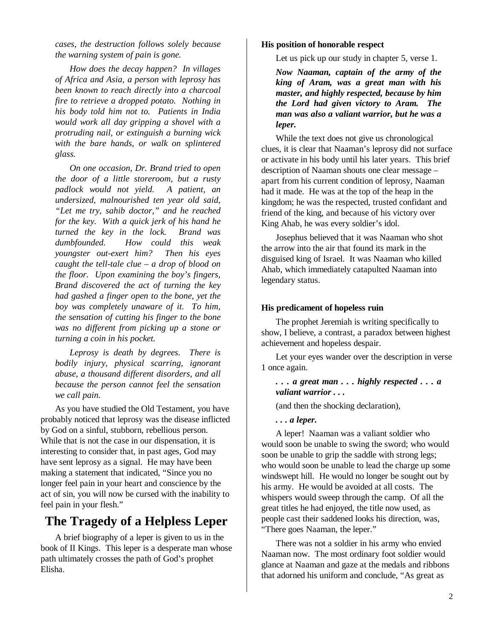*cases, the destruction follows solely because the warning system of pain is gone.* 

*How does the decay happen? In villages of Africa and Asia, a person with leprosy has been known to reach directly into a charcoal fire to retrieve a dropped potato. Nothing in his body told him not to. Patients in India would work all day gripping a shovel with a protruding nail, or extinguish a burning wick with the bare hands, or walk on splintered glass.* 

*On one occasion, Dr. Brand tried to open the door of a little storeroom, but a rusty padlock would not yield. A patient, an undersized, malnourished ten year old said, "Let me try, sahib doctor," and he reached for the key. With a quick jerk of his hand he turned the key in the lock. Brand was dumbfounded. How could this weak youngster out-exert him? Then his eyes caught the tell-tale clue – a drop of blood on the floor. Upon examining the boy's fingers, Brand discovered the act of turning the key had gashed a finger open to the bone, yet the boy was completely unaware of it. To him, the sensation of cutting his finger to the bone was no different from picking up a stone or turning a coin in his pocket.* 

*Leprosy is death by degrees. There is bodily injury, physical scarring, ignorant abuse, a thousand different disorders, and all because the person cannot feel the sensation we call pain.* 

As you have studied the Old Testament, you have probably noticed that leprosy was the disease inflicted by God on a sinful, stubborn, rebellious person. While that is not the case in our dispensation, it is interesting to consider that, in past ages, God may have sent leprosy as a signal. He may have been making a statement that indicated, "Since you no longer feel pain in your heart and conscience by the act of sin, you will now be cursed with the inability to feel pain in your flesh."

# **The Tragedy of a Helpless Leper**

A brief biography of a leper is given to us in the book of II Kings. This leper is a desperate man whose path ultimately crosses the path of God's prophet Elisha.

#### **His position of honorable respect**

Let us pick up our study in chapter 5, verse 1.

*Now Naaman, captain of the army of the king of Aram, was a great man with his master, and highly respected, because by him the Lord had given victory to Aram. The man was also a valiant warrior, but he was a leper.*

While the text does not give us chronological clues, it is clear that Naaman's leprosy did not surface or activate in his body until his later years. This brief description of Naaman shouts one clear message – apart from his current condition of leprosy, Naaman had it made. He was at the top of the heap in the kingdom; he was the respected, trusted confidant and friend of the king, and because of his victory over King Ahab, he was every soldier's idol.

Josephus believed that it was Naaman who shot the arrow into the air that found its mark in the disguised king of Israel. It was Naaman who killed Ahab, which immediately catapulted Naaman into legendary status.

#### **His predicament of hopeless ruin**

The prophet Jeremiah is writing specifically to show, I believe, a contrast, a paradox between highest achievement and hopeless despair.

Let your eyes wander over the description in verse 1 once again.

*. . . a great man . . . highly respected . . . a valiant warrior . . .* 

(and then the shocking declaration),

*. . . a leper.*

A leper! Naaman was a valiant soldier who would soon be unable to swing the sword; who would soon be unable to grip the saddle with strong legs; who would soon be unable to lead the charge up some windswept hill. He would no longer be sought out by his army. He would be avoided at all costs. The whispers would sweep through the camp. Of all the great titles he had enjoyed, the title now used, as people cast their saddened looks his direction, was, "There goes Naaman, the leper."

There was not a soldier in his army who envied Naaman now. The most ordinary foot soldier would glance at Naaman and gaze at the medals and ribbons that adorned his uniform and conclude, "As great as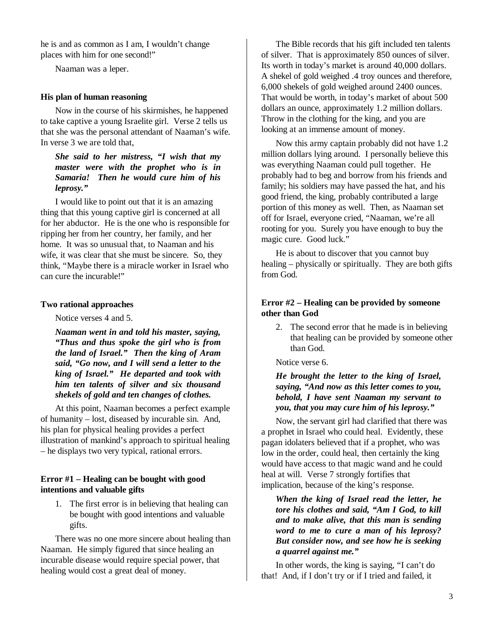he is and as common as I am, I wouldn't change places with him for one second!"

Naaman was a leper.

#### **His plan of human reasoning**

Now in the course of his skirmishes, he happened to take captive a young Israelite girl. Verse 2 tells us that she was the personal attendant of Naaman's wife. In verse 3 we are told that,

## *She said to her mistress, "I wish that my master were with the prophet who is in Samaria! Then he would cure him of his leprosy."*

I would like to point out that it is an amazing thing that this young captive girl is concerned at all for her abductor. He is the one who is responsible for ripping her from her country, her family, and her home. It was so unusual that, to Naaman and his wife, it was clear that she must be sincere. So, they think, "Maybe there is a miracle worker in Israel who can cure the incurable!"

#### **Two rational approaches**

Notice verses 4 and 5.

*Naaman went in and told his master, saying, "Thus and thus spoke the girl who is from the land of Israel." Then the king of Aram said, "Go now, and I will send a letter to the king of Israel." He departed and took with him ten talents of silver and six thousand shekels of gold and ten changes of clothes.* 

At this point, Naaman becomes a perfect example of humanity – lost, diseased by incurable sin. And, his plan for physical healing provides a perfect illustration of mankind's approach to spiritual healing – he displays two very typical, rational errors.

#### **Error #1 – Healing can be bought with good intentions and valuable gifts**

1. The first error is in believing that healing can be bought with good intentions and valuable gifts.

There was no one more sincere about healing than Naaman. He simply figured that since healing an incurable disease would require special power, that healing would cost a great deal of money.

The Bible records that his gift included ten talents of silver. That is approximately 850 ounces of silver. Its worth in today's market is around 40,000 dollars. A shekel of gold weighed .4 troy ounces and therefore, 6,000 shekels of gold weighed around 2400 ounces. That would be worth, in today's market of about 500 dollars an ounce, approximately 1.2 million dollars. Throw in the clothing for the king, and you are looking at an immense amount of money.

Now this army captain probably did not have 1.2 million dollars lying around. I personally believe this was everything Naaman could pull together. He probably had to beg and borrow from his friends and family; his soldiers may have passed the hat, and his good friend, the king, probably contributed a large portion of this money as well. Then, as Naaman set off for Israel, everyone cried, "Naaman, we're all rooting for you. Surely you have enough to buy the magic cure. Good luck."

He is about to discover that you cannot buy healing – physically or spiritually. They are both gifts from God.

### **Error #2 – Healing can be provided by someone other than God**

2. The second error that he made is in believing that healing can be provided by someone other than God.

#### Notice verse 6.

#### *He brought the letter to the king of Israel, saying, "And now as this letter comes to you, behold, I have sent Naaman my servant to you, that you may cure him of his leprosy."*

Now, the servant girl had clarified that there was a prophet in Israel who could heal. Evidently, these pagan idolaters believed that if a prophet, who was low in the order, could heal, then certainly the king would have access to that magic wand and he could heal at will. Verse 7 strongly fortifies that implication, because of the king's response.

*When the king of Israel read the letter, he tore his clothes and said, "Am I God, to kill and to make alive, that this man is sending word to me to cure a man of his leprosy? But consider now, and see how he is seeking a quarrel against me."* 

In other words, the king is saying, "I can't do that! And, if I don't try or if I tried and failed, it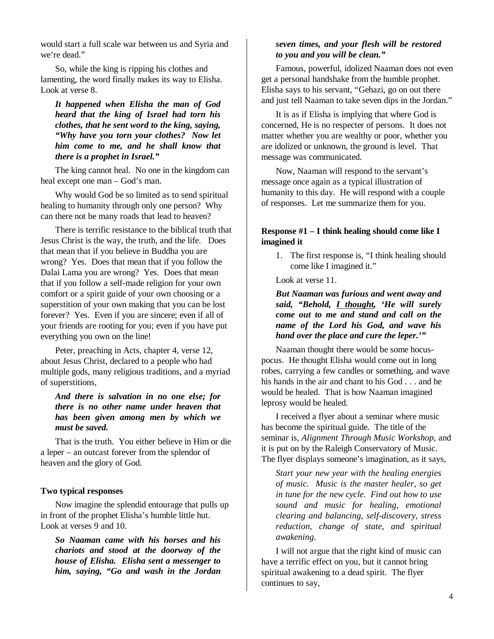would start a full scale war between us and Syria and we're dead."

So, while the king is ripping his clothes and lamenting, the word finally makes its way to Elisha. Look at verse 8.

*It happened when Elisha the man of God heard that the king of Israel had torn his clothes, that he sent word to the king, saying, "Why have you torn your clothes? Now let him come to me, and he shall know that there is a prophet in Israel."* 

The king cannot heal. No one in the kingdom can heal except one man – God's man.

Why would God be so limited as to send spiritual healing to humanity through only one person? Why can there not be many roads that lead to heaven?

There is terrific resistance to the biblical truth that Jesus Christ is the way, the truth, and the life. Does that mean that if you believe in Buddha you are wrong? Yes. Does that mean that if you follow the Dalai Lama you are wrong? Yes. Does that mean that if you follow a self-made religion for your own comfort or a spirit guide of your own choosing or a superstition of your own making that you can be lost forever? Yes. Even if you are sincere; even if all of your friends are rooting for you; even if you have put everything you own on the line!

Peter, preaching in Acts, chapter 4, verse 12, about Jesus Christ, declared to a people who had multiple gods, many religious traditions, and a myriad of superstitions,

## *And there is salvation in no one else; for there is no other name under heaven that has been given among men by which we must be saved.*

That is the truth. You either believe in Him or die a leper – an outcast forever from the splendor of heaven and the glory of God.

#### **Two typical responses**

Now imagine the splendid entourage that pulls up in front of the prophet Elisha's humble little hut. Look at verses 9 and 10.

*So Naaman came with his horses and his chariots and stood at the doorway of the house of Elisha. Elisha sent a messenger to him, saying, "Go and wash in the Jordan* 

### *seven times, and your flesh will be restored to you and you will be clean."*

Famous, powerful, idolized Naaman does not even get a personal handshake from the humble prophet. Elisha says to his servant, "Gehazi, go on out there and just tell Naaman to take seven dips in the Jordan."

It is as if Elisha is implying that where God is concerned, He is no respecter of persons. It does not matter whether you are wealthy or poor, whether you are idolized or unknown, the ground is level. That message was communicated.

Now, Naaman will respond to the servant's message once again as a typical illustration of humanity to this day. He will respond with a couple of responses. Let me summarize them for you.

## **Response #1 – I think healing should come like I imagined it**

1. The first response is, "I think healing should come like I imagined it."

Look at verse 11.

*But Naaman was furious and went away and said, "Behold, I thought, 'He will surely come out to me and stand and call on the name of the Lord his God, and wave his hand over the place and cure the leper.'"* 

Naaman thought there would be some hocuspocus. He thought Elisha would come out in long robes, carrying a few candles or something, and wave his hands in the air and chant to his God . . . and he would be healed. That is how Naaman imagined leprosy would be healed.

I received a flyer about a seminar where music has become the spiritual guide. The title of the seminar is, *Alignment Through Music Workshop*, and it is put on by the Raleigh Conservatory of Music. The flyer displays someone's imagination, as it says,

*Start your new year with the healing energies of music. Music is the master healer, so get in tune for the new cycle. Find out how to use sound and music for healing, emotional clearing and balancing, self-discovery, stress reduction, change of state, and spiritual awakening.* 

I will not argue that the right kind of music can have a terrific effect on you, but it cannot bring spiritual awakening to a dead spirit. The flyer continues to say,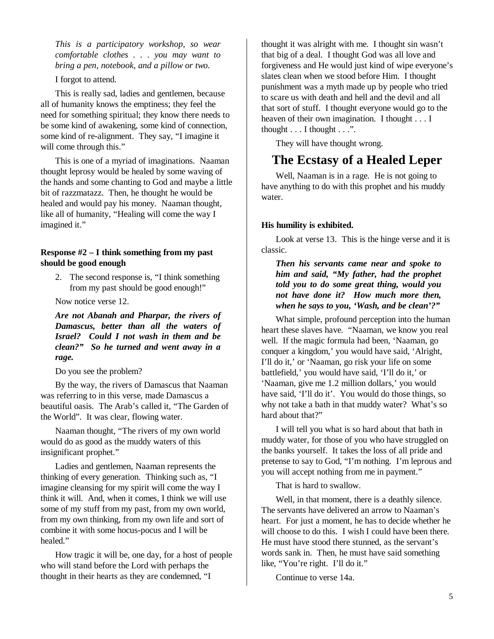*This is a participatory workshop, so wear comfortable clothes . . . you may want to bring a pen, notebook, and a pillow or two.* 

I forgot to attend.

This is really sad, ladies and gentlemen, because all of humanity knows the emptiness; they feel the need for something spiritual; they know there needs to be some kind of awakening, some kind of connection, some kind of re-alignment. They say, "I imagine it will come through this."

This is one of a myriad of imaginations. Naaman thought leprosy would be healed by some waving of the hands and some chanting to God and maybe a little bit of razzmatazz. Then, he thought he would be healed and would pay his money. Naaman thought, like all of humanity, "Healing will come the way I imagined it."

### **Response #2 – I think something from my past should be good enough**

2. The second response is, "I think something from my past should be good enough!"

Now notice verse 12.

*Are not Abanah and Pharpar, the rivers of Damascus, better than all the waters of Israel? Could I not wash in them and be clean?" So he turned and went away in a rage.* 

Do you see the problem?

By the way, the rivers of Damascus that Naaman was referring to in this verse, made Damascus a beautiful oasis. The Arab's called it, "The Garden of the World". It was clear, flowing water.

Naaman thought, "The rivers of my own world would do as good as the muddy waters of this insignificant prophet."

Ladies and gentlemen, Naaman represents the thinking of every generation. Thinking such as, "I imagine cleansing for my spirit will come the way I think it will. And, when it comes, I think we will use some of my stuff from my past, from my own world, from my own thinking, from my own life and sort of combine it with some hocus-pocus and I will be healed."

How tragic it will be, one day, for a host of people who will stand before the Lord with perhaps the thought in their hearts as they are condemned, "I

thought it was alright with me. I thought sin wasn't that big of a deal. I thought God was all love and forgiveness and He would just kind of wipe everyone's slates clean when we stood before Him. I thought punishment was a myth made up by people who tried to scare us with death and hell and the devil and all that sort of stuff. I thought everyone would go to the heaven of their own imagination. I thought . . . I thought  $\dots$  I thought  $\dots$ .

They will have thought wrong.

# **The Ecstasy of a Healed Leper**

Well, Naaman is in a rage. He is not going to have anything to do with this prophet and his muddy water.

#### **His humility is exhibited.**

Look at verse 13. This is the hinge verse and it is classic.

*Then his servants came near and spoke to him and said, "My father, had the prophet told you to do some great thing, would you not have done it? How much more then, when he says to you, 'Wash, and be clean'?"* 

What simple, profound perception into the human heart these slaves have. "Naaman, we know you real well. If the magic formula had been, 'Naaman, go conquer a kingdom,' you would have said, 'Alright, I'll do it,' or 'Naaman, go risk your life on some battlefield,' you would have said, 'I'll do it,' or 'Naaman, give me 1.2 million dollars,' you would have said, 'I'll do it'. You would do those things, so why not take a bath in that muddy water? What's so hard about that?"

I will tell you what is so hard about that bath in muddy water, for those of you who have struggled on the banks yourself. It takes the loss of all pride and pretense to say to God, "I'm nothing. I'm leprous and you will accept nothing from me in payment."

That is hard to swallow.

Well, in that moment, there is a deathly silence. The servants have delivered an arrow to Naaman's heart. For just a moment, he has to decide whether he will choose to do this. I wish I could have been there. He must have stood there stunned, as the servant's words sank in. Then, he must have said something like, "You're right. I'll do it."

Continue to verse 14a.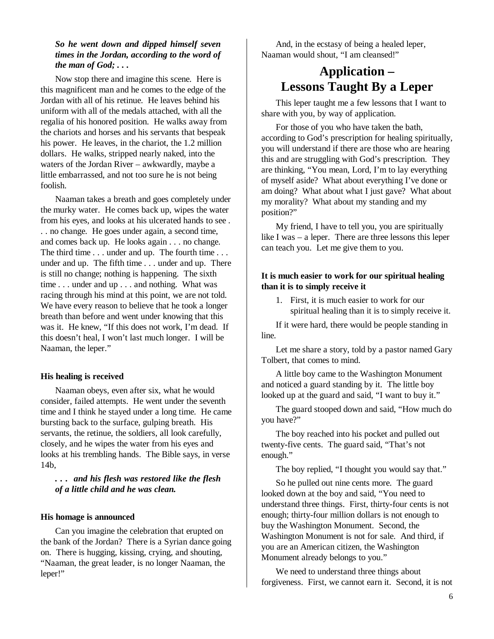## *So he went down and dipped himself seven times in the Jordan, according to the word of the man of God; . . .*

Now stop there and imagine this scene. Here is this magnificent man and he comes to the edge of the Jordan with all of his retinue. He leaves behind his uniform with all of the medals attached, with all the regalia of his honored position. He walks away from the chariots and horses and his servants that bespeak his power. He leaves, in the chariot, the 1.2 million dollars. He walks, stripped nearly naked, into the waters of the Jordan River – awkwardly, maybe a little embarrassed, and not too sure he is not being foolish.

Naaman takes a breath and goes completely under the murky water. He comes back up, wipes the water from his eyes, and looks at his ulcerated hands to see . . . no change. He goes under again, a second time, and comes back up. He looks again . . . no change. The third time . . . under and up. The fourth time . . . under and up. The fifth time . . . under and up. There is still no change; nothing is happening. The sixth time . . . under and up . . . and nothing. What was racing through his mind at this point, we are not told. We have every reason to believe that he took a longer breath than before and went under knowing that this was it. He knew, "If this does not work, I'm dead. If this doesn't heal, I won't last much longer. I will be Naaman, the leper."

#### **His healing is received**

Naaman obeys, even after six, what he would consider, failed attempts. He went under the seventh time and I think he stayed under a long time. He came bursting back to the surface, gulping breath. His servants, the retinue, the soldiers, all look carefully, closely, and he wipes the water from his eyes and looks at his trembling hands. The Bible says, in verse 14b,

*. . . and his flesh was restored like the flesh of a little child and he was clean.* 

#### **His homage is announced**

Can you imagine the celebration that erupted on the bank of the Jordan? There is a Syrian dance going on. There is hugging, kissing, crying, and shouting, "Naaman, the great leader, is no longer Naaman, the leper!"

And, in the ecstasy of being a healed leper, Naaman would shout, "I am cleansed!"

# **Application – Lessons Taught By a Leper**

This leper taught me a few lessons that I want to share with you, by way of application.

For those of you who have taken the bath, according to God's prescription for healing spiritually, you will understand if there are those who are hearing this and are struggling with God's prescription. They are thinking, "You mean, Lord, I'm to lay everything of myself aside? What about everything I've done or am doing? What about what I just gave? What about my morality? What about my standing and my position?"

My friend, I have to tell you, you are spiritually like I was – a leper. There are three lessons this leper can teach you. Let me give them to you.

#### **It is much easier to work for our spiritual healing than it is to simply receive it**

1. First, it is much easier to work for our spiritual healing than it is to simply receive it.

If it were hard, there would be people standing in line.

Let me share a story, told by a pastor named Gary Tolbert, that comes to mind.

A little boy came to the Washington Monument and noticed a guard standing by it. The little boy looked up at the guard and said, "I want to buy it."

The guard stooped down and said, "How much do you have?"

The boy reached into his pocket and pulled out twenty-five cents. The guard said, "That's not enough."

The boy replied, "I thought you would say that."

So he pulled out nine cents more. The guard looked down at the boy and said, "You need to understand three things. First, thirty-four cents is not enough; thirty-four million dollars is not enough to buy the Washington Monument. Second, the Washington Monument is not for sale. And third, if you are an American citizen, the Washington Monument already belongs to you."

We need to understand three things about forgiveness. First, we cannot earn it. Second, it is not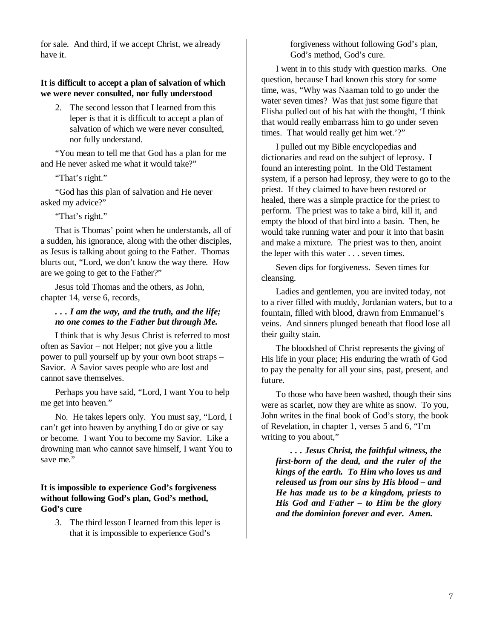for sale. And third, if we accept Christ, we already have it.

#### **It is difficult to accept a plan of salvation of which we were never consulted, nor fully understood**

2. The second lesson that I learned from this leper is that it is difficult to accept a plan of salvation of which we were never consulted, nor fully understand.

"You mean to tell me that God has a plan for me and He never asked me what it would take?"

"That's right."

"God has this plan of salvation and He never asked my advice?"

"That's right."

That is Thomas' point when he understands, all of a sudden, his ignorance, along with the other disciples, as Jesus is talking about going to the Father. Thomas blurts out, "Lord, we don't know the way there. How are we going to get to the Father?"

Jesus told Thomas and the others, as John, chapter 14, verse 6, records,

### *. . . I am the way, and the truth, and the life; no one comes to the Father but through Me.*

I think that is why Jesus Christ is referred to most often as Savior – not Helper; not give you a little power to pull yourself up by your own boot straps – Savior. A Savior saves people who are lost and cannot save themselves.

Perhaps you have said, "Lord, I want You to help me get into heaven."

No. He takes lepers only. You must say, "Lord, I can't get into heaven by anything I do or give or say or become. I want You to become my Savior. Like a drowning man who cannot save himself, I want You to save me."

### **It is impossible to experience God's forgiveness without following God's plan, God's method, God's cure**

3. The third lesson I learned from this leper is that it is impossible to experience God's

forgiveness without following God's plan, God's method, God's cure.

I went in to this study with question marks. One question, because I had known this story for some time, was, "Why was Naaman told to go under the water seven times? Was that just some figure that Elisha pulled out of his hat with the thought, 'I think that would really embarrass him to go under seven times. That would really get him wet.'?"

I pulled out my Bible encyclopedias and dictionaries and read on the subject of leprosy. I found an interesting point. In the Old Testament system, if a person had leprosy, they were to go to the priest. If they claimed to have been restored or healed, there was a simple practice for the priest to perform. The priest was to take a bird, kill it, and empty the blood of that bird into a basin. Then, he would take running water and pour it into that basin and make a mixture. The priest was to then, anoint the leper with this water . . . seven times.

Seven dips for forgiveness. Seven times for cleansing.

Ladies and gentlemen, you are invited today, not to a river filled with muddy, Jordanian waters, but to a fountain, filled with blood, drawn from Emmanuel's veins. And sinners plunged beneath that flood lose all their guilty stain.

The bloodshed of Christ represents the giving of His life in your place; His enduring the wrath of God to pay the penalty for all your sins, past, present, and future.

To those who have been washed, though their sins were as scarlet, now they are white as snow. To you, John writes in the final book of God's story, the book of Revelation, in chapter 1, verses 5 and 6, "I'm writing to you about,"

*. . . Jesus Christ, the faithful witness, the first-born of the dead, and the ruler of the kings of the earth. To Him who loves us and released us from our sins by His blood – and He has made us to be a kingdom, priests to His God and Father – to Him be the glory and the dominion forever and ever. Amen.*